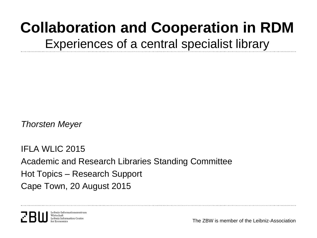# **Collaboration and Cooperation in RDM** Experiences of a central specialist library

*Thorsten Meyer*

IFLA WLIC 2015 Academic and Research Libraries Standing Committee Hot Topics – Research Support Cape Town, 20 August 2015

Leibniz-Informationszentrun Wirtschaft Leibniz Information Centre

The ZBW is member of the Leibniz-Association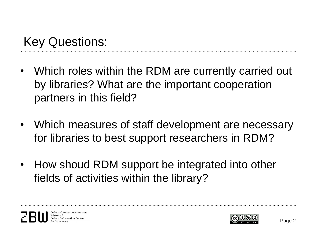- Which roles within the RDM are currently carried out by libraries? What are the important cooperation partners in this field?
- Which measures of staff development are necessary for libraries to best support researchers in RDM?
- How shoud RDM support be integrated into other fields of activities within the library?

Leibniz-Informationszentru Leibniz Information Centre

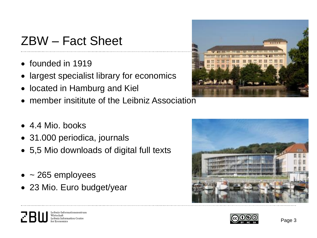### ZBW – Fact Sheet

- founded in 1919
- largest specialist library for economics
- located in Hamburg and Kiel
- member insititute of the Leibniz Association
- 4.4 Mio. books
- 31.000 periodica, journals
- 5,5 Mio downloads of digital full texts
- $\bullet$  ~ 265 employees

Wirtschaft

• 23 Mio. Euro budget/year

Leibniz-Informationszentrun

Leibniz Information Centre





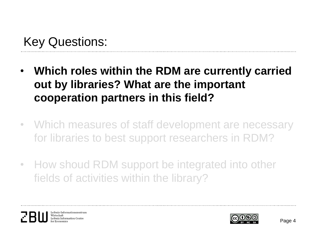- **Which roles within the RDM are currently carried out by libraries? What are the important cooperation partners in this field?**
- Which measures of staff development are necessary for libraries to best support researchers in RDM?
- How shoud RDM support be integrated into other fields of activities within the library?

Leibniz-Informationszentrur Wirtschaft Leibniz Information Centre

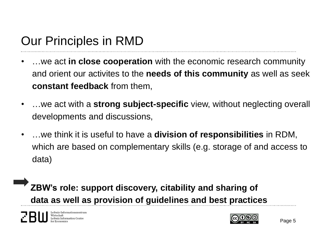### Our Principles in RMD

- …we act **in close cooperation** with the economic research community and orient our activites to the **needs of this community** as well as seek **constant feedback** from them,
- …we act with a **strong subject-specific** view, without neglecting overall developments and discussions,
- …we think it is useful to have a **division of responsibilities** in RDM, which are based on complementary skills (e.g. storage of and access to data)

 **ZBW's role: support discovery, citability and sharing of data as well as provision of guidelines and best practices**

Leibniz Information Centre

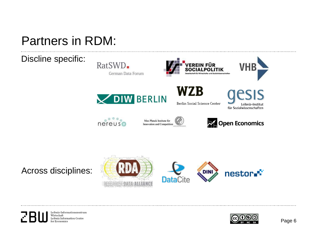#### Partners in RDM:

Discline specific:



WZB

EREIN FÜR

Berlin Social Science Center



**VHB** 

 $\circ \circ \circ \circ \circ$  $nereus$ 

Max Planck Institute for Innovation and Competition **DEL** Open Economics

Across disciplines:



Leibniz-Informationszentrum Wirtschaft Leibniz Information Centre or Economics

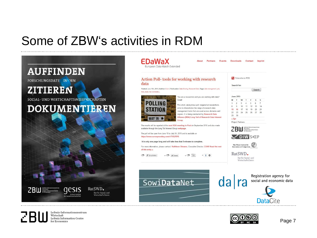#### Some of ZBW's activities in RDM



Leibniz-Informationszentrum Wirtschaft Leibniz Information Centre for Economics



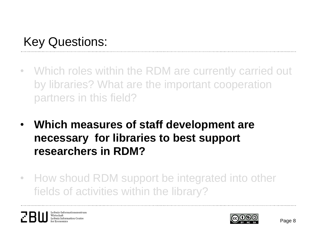- Which roles within the RDM are currently carried out by libraries? What are the important cooperation partners in this field?
- **Which measures of staff development are necessary for libraries to best support researchers in RDM?**
- How shoud RDM support be integrated into other fields of activities within the library?

Leibniz-Informationszentrun Wirtschaft Leibniz Information Centre

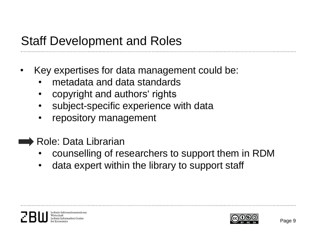### Staff Development and Roles

- Key expertises for data management could be:
	- metadata and data standards
	- copyright and authors' rights
	- subject-specific experience with data
	- repository management
- Role: Data Librarian
	- counselling of researchers to support them in RDM
	- data expert within the library to support staff



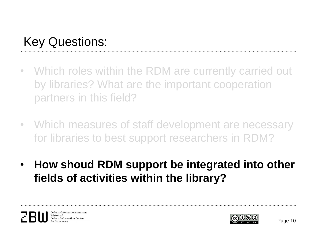- Which roles within the RDM are currently carried out by libraries? What are the important cooperation partners in this field?
- Which measures of staff development are necessary for libraries to best support researchers in RDM?
- **How shoud RDM support be integrated into other fields of activities within the library?**

Leibniz-Informationszentrun Wirtschaft Leibniz Information Centre

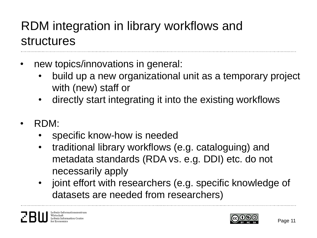## RDM integration in library workflows and structures

- new topics/innovations in general:
	- build up a new organizational unit as a temporary project with (new) staff or
	- directly start integrating it into the existing workflows
- RDM:
	- specific know-how is needed
	- traditional library workflows (e.g. cataloguing) and metadata standards (RDA vs. e.g. DDI) etc. do not necessarily apply
	- joint effort with researchers (e.g. specific knowledge of datasets are needed from researchers)

Leibniz-Informationszentruı Wirtschaft Leibniz Information Centre

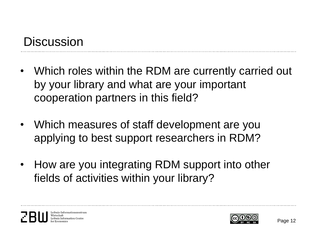### **Discussion**

- Which roles within the RDM are currently carried out by your library and what are your important cooperation partners in this field?
- Which measures of staff development are you applying to best support researchers in RDM?
- How are you integrating RDM support into other fields of activities within your library?

Leibniz-Informationszentruı Leibniz Information Centre